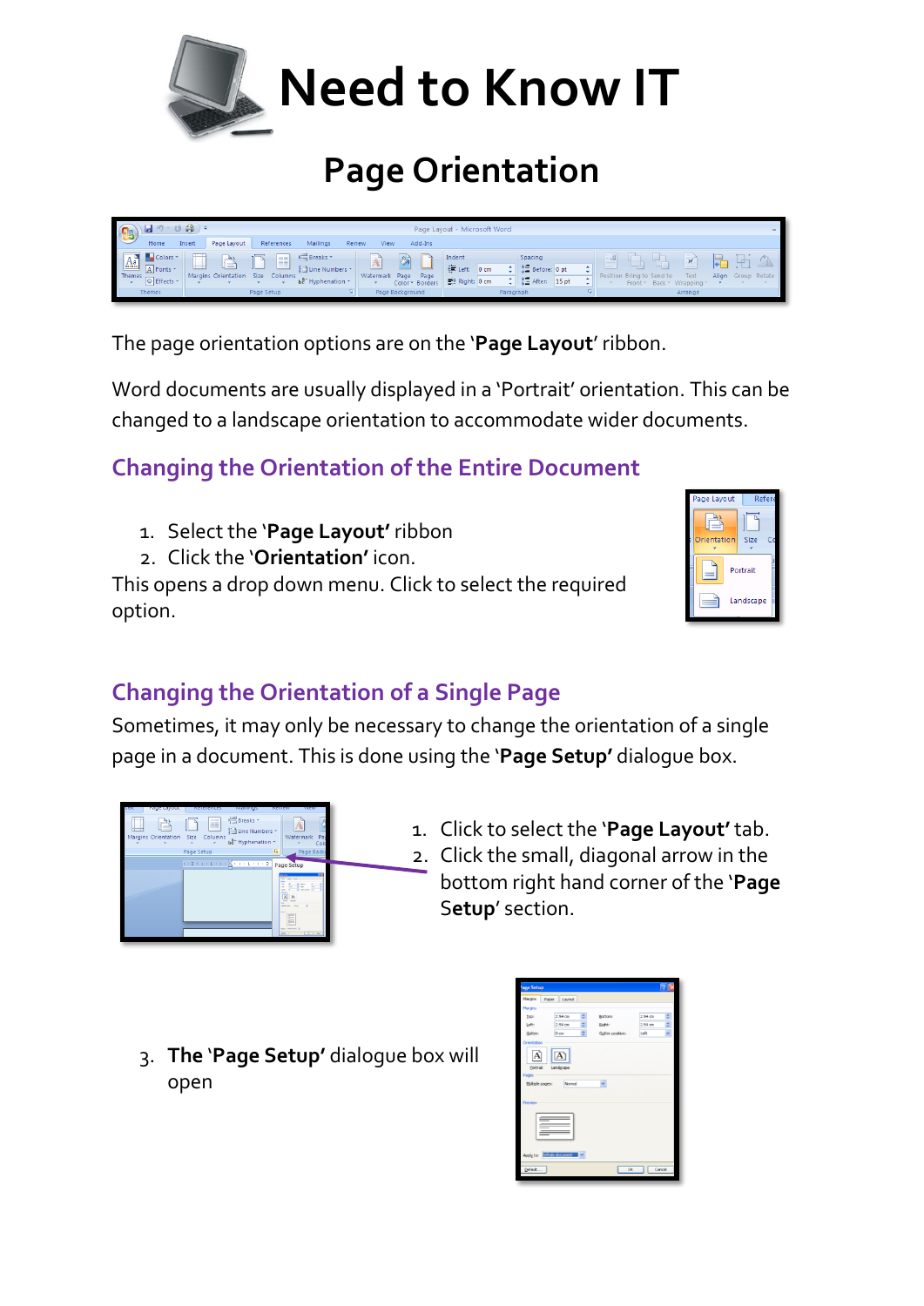

## **Page Orientation**



The page orientation options are on the '**Page Layout**' ribbon.

Word documents are usually displayed in a 'Portrait' orientation. This can be changed to a landscape orientation to accommodate wider documents.

## **Changing the Orientation of the Entire Document**

- 1. Select the '**Page Layout'** ribbon
- 2. Click the '**Orientation'** icon.

This opens a drop down menu. Click to select the required option.



## **Changing the Orientation of a Single Page**

Sometimes, it may only be necessary to change the orientation of a single page in a document. This is done using the '**Page Setup'** dialogue box.



- 1. Click to select the '**Page Layout'** tab. 2. Click the small, diagonal arrow in the bottom right hand corner of the '**Page** S**etup**' section.
- 3. **The** '**Page Setup'** dialogue box will open